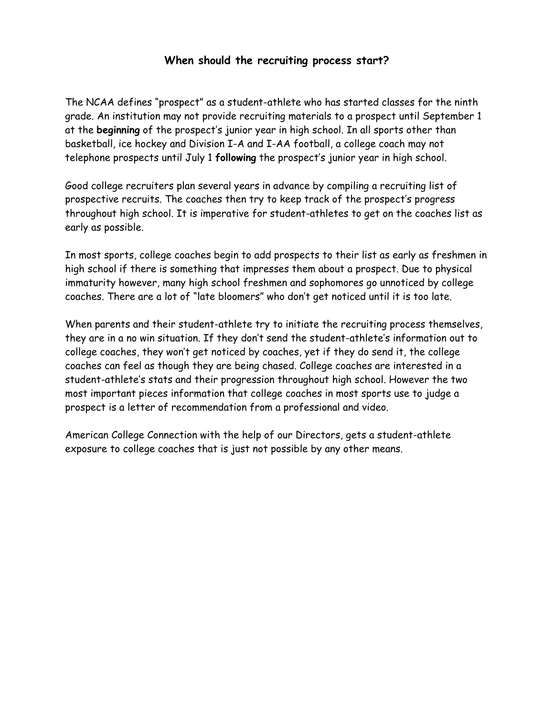### **When should the recruiting process start?**

The NCAA defines "prospect" as a student-athlete who has started classes for the ninth grade. An institution may not provide recruiting materials to a prospect until September 1 at the **beginning** of the prospect's junior year in high school. In all sports other than basketball, ice hockey and Division I-A and I-AA football, a college coach may not telephone prospects until July 1 **following** the prospect's junior year in high school.

Good college recruiters plan several years in advance by compiling a recruiting list of prospective recruits. The coaches then try to keep track of the prospect's progress throughout high school. It is imperative for student-athletes to get on the coaches list as early as possible.

In most sports, college coaches begin to add prospects to their list as early as freshmen in high school if there is something that impresses them about a prospect. Due to physical immaturity however, many high school freshmen and sophomores go unnoticed by college coaches. There are a lot of "late bloomers" who don't get noticed until it is too late.

When parents and their student-athlete try to initiate the recruiting process themselves, they are in a no win situation. If they don't send the student-athlete's information out to college coaches, they won't get noticed by coaches, yet if they do send it, the college coaches can feel as though they are being chased. College coaches are interested in a student-athlete's stats and their progression throughout high school. However the two most important pieces information that college coaches in most sports use to judge a prospect is a letter of recommendation from a professional and video.

American College Connection with the help of our Directors, gets a student-athlete exposure to college coaches that is just not possible by any other means.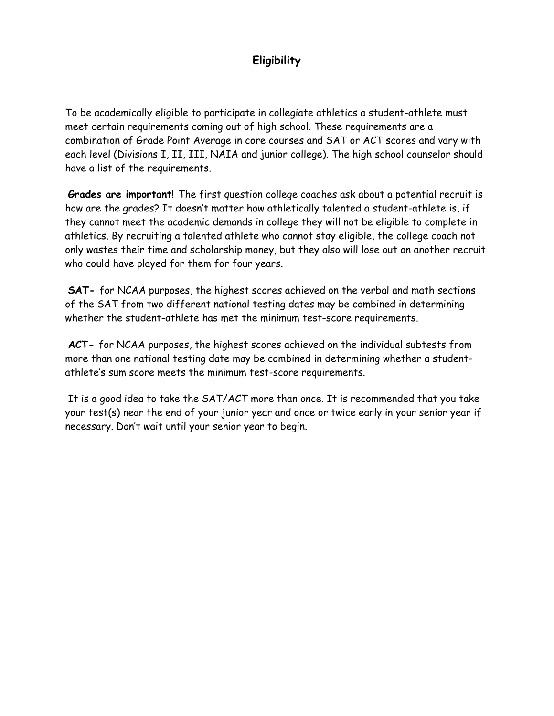## **Eligibility**

To be academically eligible to participate in collegiate athletics a student-athlete must meet certain requirements coming out of high school. These requirements are a combination of Grade Point Average in core courses and SAT or ACT scores and vary with each level (Divisions I, II, III, NAIA and junior college). The high school counselor should have a list of the requirements.

**Grades are important!** The first question college coaches ask about a potential recruit is how are the grades? It doesn't matter how athletically talented a student-athlete is, if they cannot meet the academic demands in college they will not be eligible to complete in athletics. By recruiting a talented athlete who cannot stay eligible, the college coach not only wastes their time and scholarship money, but they also will lose out on another recruit who could have played for them for four years.

**SAT-** for NCAA purposes, the highest scores achieved on the verbal and math sections of the SAT from two different national testing dates may be combined in determining whether the student-athlete has met the minimum test-score requirements.

**ACT-** for NCAA purposes, the highest scores achieved on the individual subtests from more than one national testing date may be combined in determining whether a studentathlete's sum score meets the minimum test-score requirements.

 It is a good idea to take the SAT/ACT more than once. It is recommended that you take your test(s) near the end of your junior year and once or twice early in your senior year if necessary. Don't wait until your senior year to begin.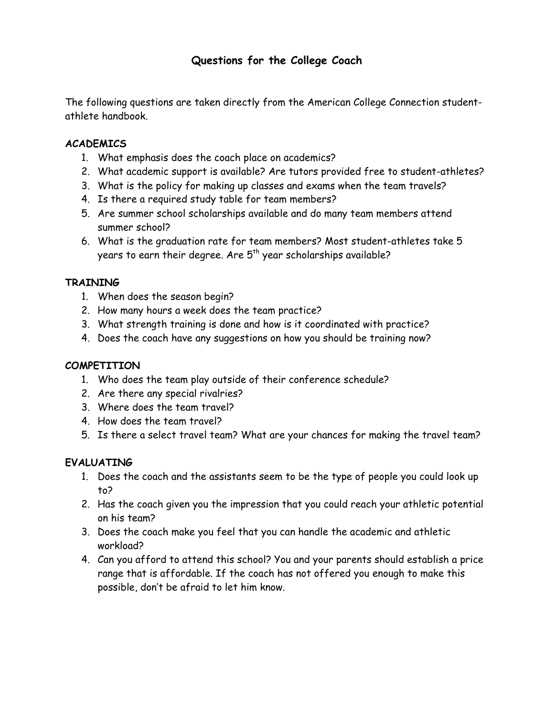## **Questions for the College Coach**

The following questions are taken directly from the American College Connection studentathlete handbook.

#### **ACADEMICS**

- 1. What emphasis does the coach place on academics?
- 2. What academic support is available? Are tutors provided free to student-athletes?
- 3. What is the policy for making up classes and exams when the team travels?
- 4. Is there a required study table for team members?
- 5. Are summer school scholarships available and do many team members attend summer school?
- 6. What is the graduation rate for team members? Most student-athletes take 5 years to earn their degree. Are 5<sup>th</sup> year scholarships available?

#### **TRAINING**

- 1. When does the season begin?
- 2. How many hours a week does the team practice?
- 3. What strength training is done and how is it coordinated with practice?
- 4. Does the coach have any suggestions on how you should be training now?

#### **COMPETITION**

- 1. Who does the team play outside of their conference schedule?
- 2. Are there any special rivalries?
- 3. Where does the team travel?
- 4. How does the team travel?
- 5. Is there a select travel team? What are your chances for making the travel team?

#### **EVALUATING**

- 1. Does the coach and the assistants seem to be the type of people you could look up to?
- 2. Has the coach given you the impression that you could reach your athletic potential on his team?
- 3. Does the coach make you feel that you can handle the academic and athletic workload?
- 4. Can you afford to attend this school? You and your parents should establish a price range that is affordable. If the coach has not offered you enough to make this possible, don't be afraid to let him know.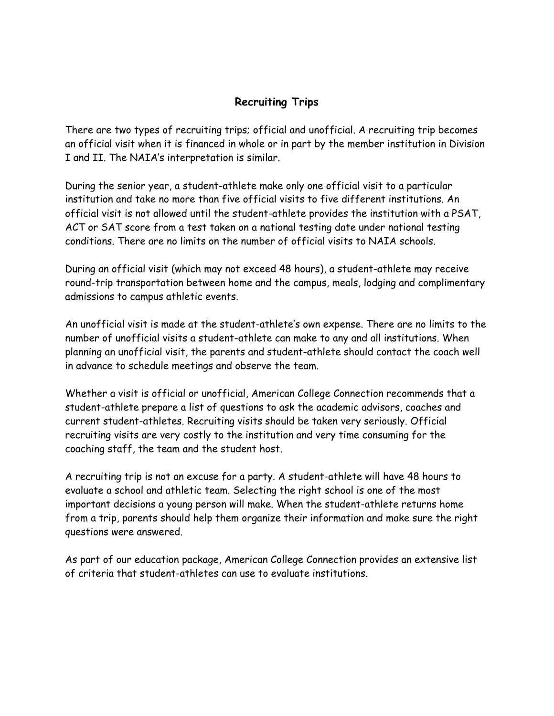## **Recruiting Trips**

There are two types of recruiting trips; official and unofficial. A recruiting trip becomes an official visit when it is financed in whole or in part by the member institution in Division I and II. The NAIA's interpretation is similar.

During the senior year, a student-athlete make only one official visit to a particular institution and take no more than five official visits to five different institutions. An official visit is not allowed until the student-athlete provides the institution with a PSAT, ACT or SAT score from a test taken on a national testing date under national testing conditions. There are no limits on the number of official visits to NAIA schools.

During an official visit (which may not exceed 48 hours), a student-athlete may receive round-trip transportation between home and the campus, meals, lodging and complimentary admissions to campus athletic events.

An unofficial visit is made at the student-athlete's own expense. There are no limits to the number of unofficial visits a student-athlete can make to any and all institutions. When planning an unofficial visit, the parents and student-athlete should contact the coach well in advance to schedule meetings and observe the team.

Whether a visit is official or unofficial, American College Connection recommends that a student-athlete prepare a list of questions to ask the academic advisors, coaches and current student-athletes. Recruiting visits should be taken very seriously. Official recruiting visits are very costly to the institution and very time consuming for the coaching staff, the team and the student host.

A recruiting trip is not an excuse for a party. A student-athlete will have 48 hours to evaluate a school and athletic team. Selecting the right school is one of the most important decisions a young person will make. When the student-athlete returns home from a trip, parents should help them organize their information and make sure the right questions were answered.

As part of our education package, American College Connection provides an extensive list of criteria that student-athletes can use to evaluate institutions.